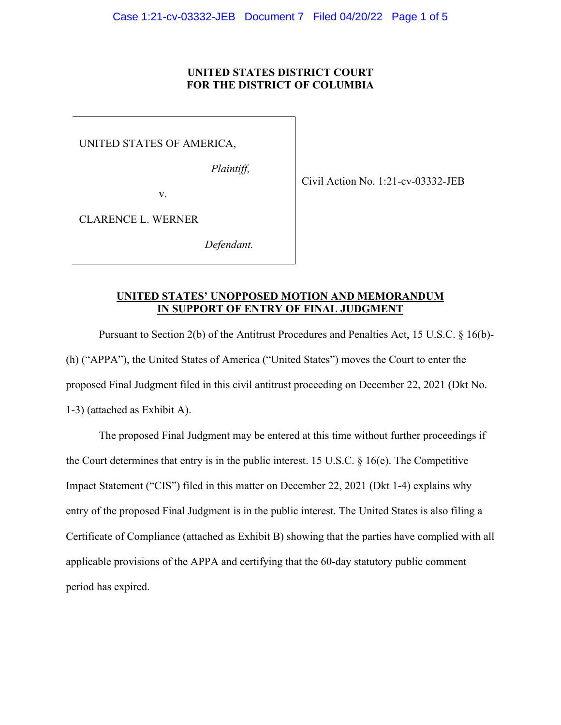### **UNITED STATES DISTRICT COURT FOR THE DISTRICT OF COLUMBIA**

UNITED STATES OF AMERICA,

*Plaintiff,* 

v.

Civil Action No. 1:21-cv-03332-JEB

CLARENCE L. WERNER

*Defendant.* 

## **UNITED STATES' UNOPPOSED MOTION AND MEMORANDUM IN SUPPORT OF ENTRY OF FINAL JUDGMENT**

 proposed Final Judgment filed in this civil antitrust proceeding on December 22, 2021 (Dkt No. 1-3) (attached as Exhibit A). Pursuant to Section 2(b) of the Antitrust Procedures and Penalties Act, 15 U.S.C. § 16(b)- (h) ("APPA"), the United States of America ("United States") moves the Court to enter the

 the Court determines that entry is in the public interest. 15 U.S.C. § 16(e). The Competitive Impact Statement ("CIS") filed in this matter on December 22, 2021 (Dkt 1-4) explains why entry of the proposed Final Judgment is in the public interest. The United States is also filing a Certificate of Compliance (attached as Exhibit B) showing that the parties have complied with all applicable provisions of the APPA and certifying that the 60-day statutory public comment The proposed Final Judgment may be entered at this time without further proceedings if period has expired.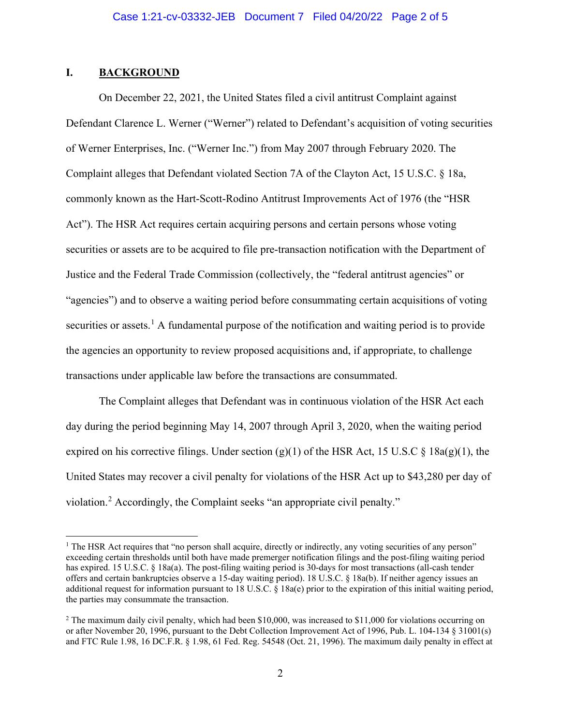## **I. BACKGROUND**

securities or assets.<sup>1</sup> A fundamental purpose of the notification and waiting period is to provide On December 22, 2021, the United States filed a civil antitrust Complaint against Defendant Clarence L. Werner ("Werner") related to Defendant's acquisition of voting securities of Werner Enterprises, Inc. ("Werner Inc.") from May 2007 through February 2020. The Complaint alleges that Defendant violated Section 7A of the Clayton Act, 15 U.S.C. § 18a, commonly known as the Hart-Scott-Rodino Antitrust Improvements Act of 1976 (the "HSR Act"). The HSR Act requires certain acquiring persons and certain persons whose voting securities or assets are to be acquired to file pre-transaction notification with the Department of Justice and the Federal Trade Commission (collectively, the "federal antitrust agencies" or "agencies") and to observe a waiting period before consummating certain acquisitions of voting the agencies an opportunity to review proposed acquisitions and, if appropriate, to challenge transactions under applicable law before the transactions are consummated.

 The Complaint alleges that Defendant was in continuous violation of the HSR Act each United States may recover a civil penalty for violations of the HSR Act up to \$43,280 per day of violation.<sup>2</sup> Accordingly, the Complaint seeks "an appropriate civil penalty." violation.<sup>[2](#page-1-1)</sup> Accordingly, the Complaint seeks "an appropriate civil penalty."<br><sup>1</sup> The HSR Act requires that "no person shall acquire, directly or indirectly, any voting securities of any person" day during the period beginning May 14, 2007 through April 3, 2020, when the waiting period expired on his corrective filings. Under section (g)(1) of the HSR Act, 15 U.S.C  $\S$  18a(g)(1), the

<span id="page-1-0"></span> exceeding certain thresholds until both have made premerger notification filings and the post-filing waiting period has expired. 15 U.S.C. § 18a(a). The post-filing waiting period is 30-days for most transactions (all-cash tender offers and certain bankruptcies observe a 15-day waiting period). 18 U.S.C. § 18a(b). If neither agency issues an additional request for information pursuant to 18 U.S.C. § 18a(e) prior to the expiration of this initial waiting period, the parties may consummate the transaction.

<span id="page-1-1"></span> $2$  The maximum daily civil penalty, which had been \$10,000, was increased to \$11,000 for violations occurring on or after November 20, 1996, pursuant to the Debt Collection Improvement Act of 1996, Pub. L. 104-134 § 31001(s) and FTC Rule 1.98, 16 DC.F.R. § 1.98, 61 Fed. Reg. 54548 (Oct. 21, 1996). The maximum daily penalty in effect at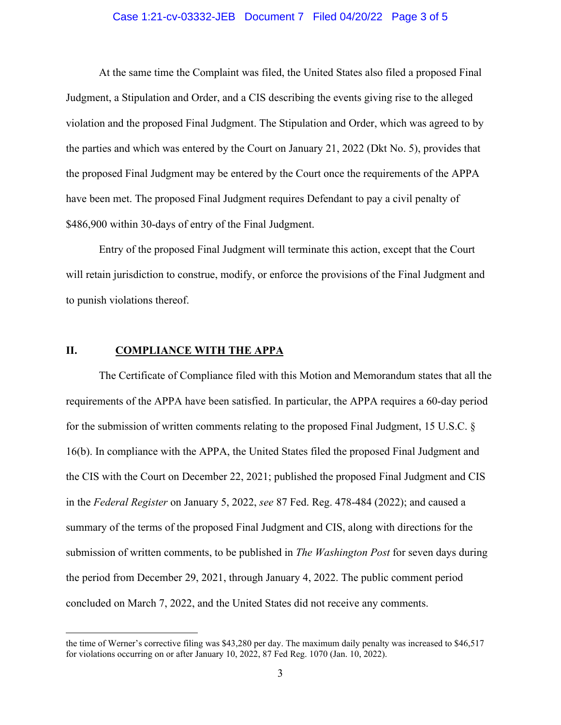#### Case 1:21-cv-03332-JEB Document 7 Filed 04/20/22 Page 3 of 5

 At the same time the Complaint was filed, the United States also filed a proposed Final the parties and which was entered by the Court on January 21, 2022 (Dkt No. 5), provides that \$486,900 within 30-days of entry of the Final Judgment. Judgment, a Stipulation and Order, and a CIS describing the events giving rise to the alleged violation and the proposed Final Judgment. The Stipulation and Order, which was agreed to by the proposed Final Judgment may be entered by the Court once the requirements of the APPA have been met. The proposed Final Judgment requires Defendant to pay a civil penalty of

 Entry of the proposed Final Judgment will terminate this action, except that the Court to punish violations thereof. will retain jurisdiction to construe, modify, or enforce the provisions of the Final Judgment and

#### **II. COMPLIANCE WITH THE APPA**

 The Certificate of Compliance filed with this Motion and Memorandum states that all the 16(b). In compliance with the APPA, the United States filed the proposed Final Judgment and the CIS with the Court on December 22, 2021; published the proposed Final Judgment and CIS submission of written comments, to be published in *The Washington Post* for seven days during concluded on March 7, 2022, and the United States did not receive any comments. concluded on March 7, 2022, and the United States did not receive any comments.<br>the time of Werner's corrective filing was \$43,280 per day. The maximum daily penalty was increased to \$46,517 requirements of the APPA have been satisfied. In particular, the APPA requires a 60-day period for the submission of written comments relating to the proposed Final Judgment, 15 U.S.C. § in the *Federal Register* on January 5, 2022, *see* 87 Fed. Reg. 478-484 (2022); and caused a summary of the terms of the proposed Final Judgment and CIS, along with directions for the the period from December 29, 2021, through January 4, 2022. The public comment period

 for violations occurring on or after January 10, 2022, 87 Fed Reg. 1070 (Jan. 10, 2022).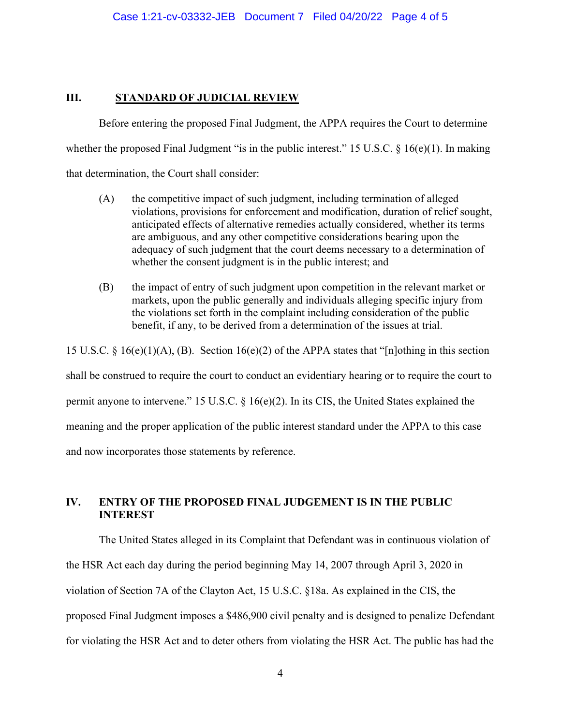## **III. STANDARD OF JUDICIAL REVIEW**

whether the proposed Final Judgment "is in the public interest." 15 U.S.C. § 16(e)(1). In making Before entering the proposed Final Judgment, the APPA requires the Court to determine that determination, the Court shall consider:

- whether the consent judgment is in the public interest; and (A) the competitive impact of such judgment, including termination of alleged violations, provisions for enforcement and modification, duration of relief sought, anticipated effects of alternative remedies actually considered, whether its terms are ambiguous, and any other competitive considerations bearing upon the adequacy of such judgment that the court deems necessary to a determination of
- (B) the impact of entry of such judgment upon competition in the relevant market or markets, upon the public generally and individuals alleging specific injury from the violations set forth in the complaint including consideration of the public benefit, if any, to be derived from a determination of the issues at trial.

15 U.S.C. § 16(e)(1)(A), (B). Section 16(e)(2) of the APPA states that "[n]othing in this section

shall be construed to require the court to conduct an evidentiary hearing or to require the court to permit anyone to intervene." 15 U.S.C. § 16(e)(2). In its CIS, the United States explained the meaning and the proper application of the public interest standard under the APPA to this case

and now incorporates those statements by reference.

# **IV. ENTRY OF THE PROPOSED FINAL JUDGEMENT IS IN THE PUBLIC INTEREST**

 The United States alleged in its Complaint that Defendant was in continuous violation of violation of Section 7A of the Clayton Act, 15 U.S.C. §18a. As explained in the CIS, the proposed Final Judgment imposes a \$486,900 civil penalty and is designed to penalize Defendant for violating the HSR Act and to deter others from violating the HSR Act. The public has had the the HSR Act each day during the period beginning May 14, 2007 through April 3, 2020 in